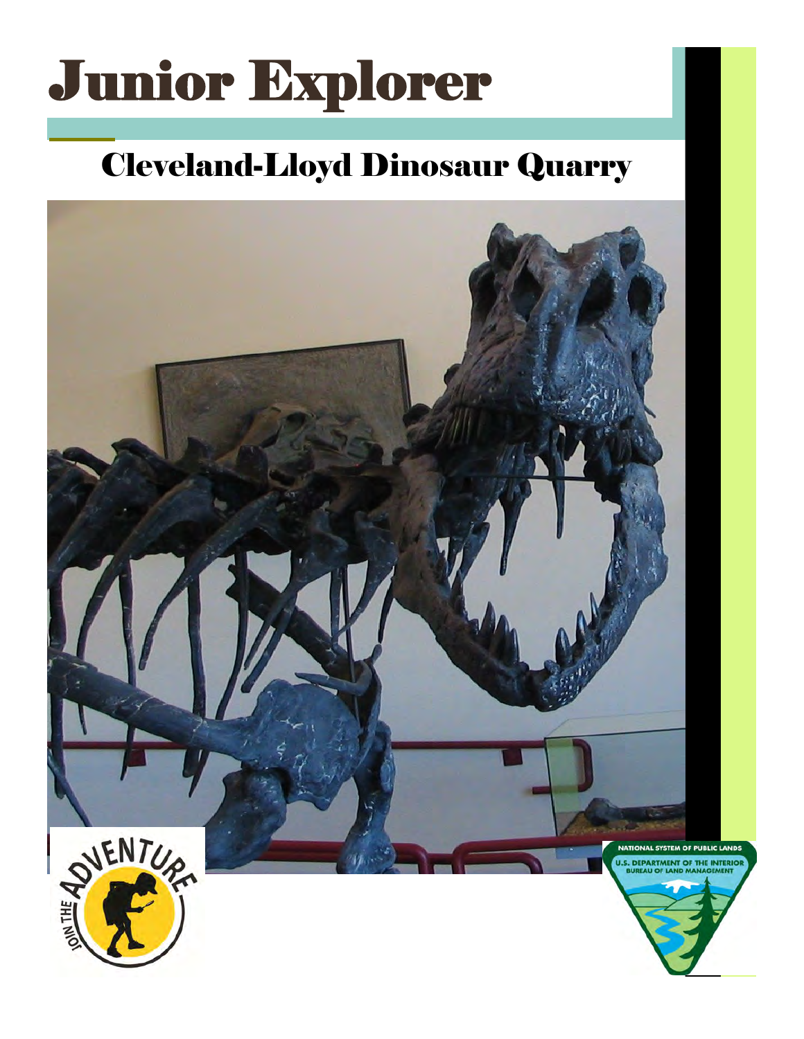# Junior Explorer

# Cleveland-Lloyd Dinosaur Quarry

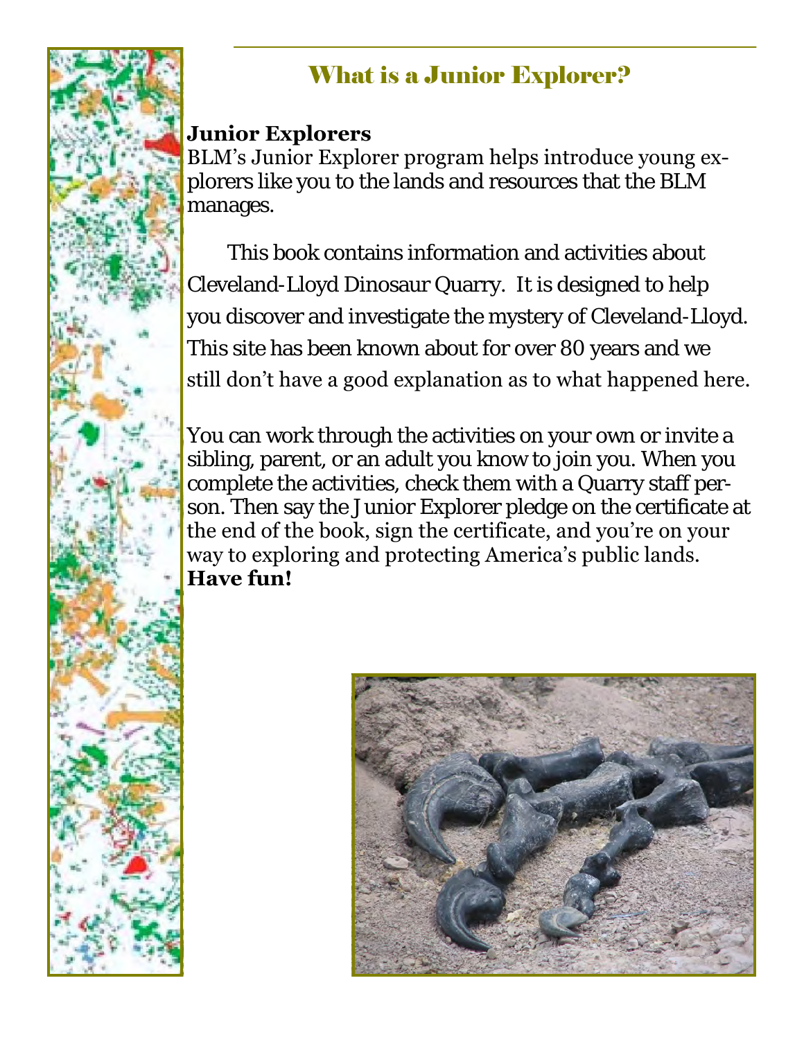

# What is a Junior Explorer?

#### **Junior Explorers**

BLM's Junior Explorer program helps introduce young explorers like you to the lands and resources that the BLM manages.

 This book contains information and activities about Cleveland-Lloyd Dinosaur Quarry. It is designed to help you discover and investigate the mystery of Cleveland-Lloyd. This site has been known about for over 80 years and we still don't have a good explanation as to what happened here.

You can work through the activities on your own or invite a sibling, parent, or an adult you know to join you. When you complete the activities, check them with a Quarry staff person. Then say the Junior Explorer pledge on the certificate at the end of the book, sign the certificate, and you're on your way to exploring and protecting America's public lands. **Have fun!**

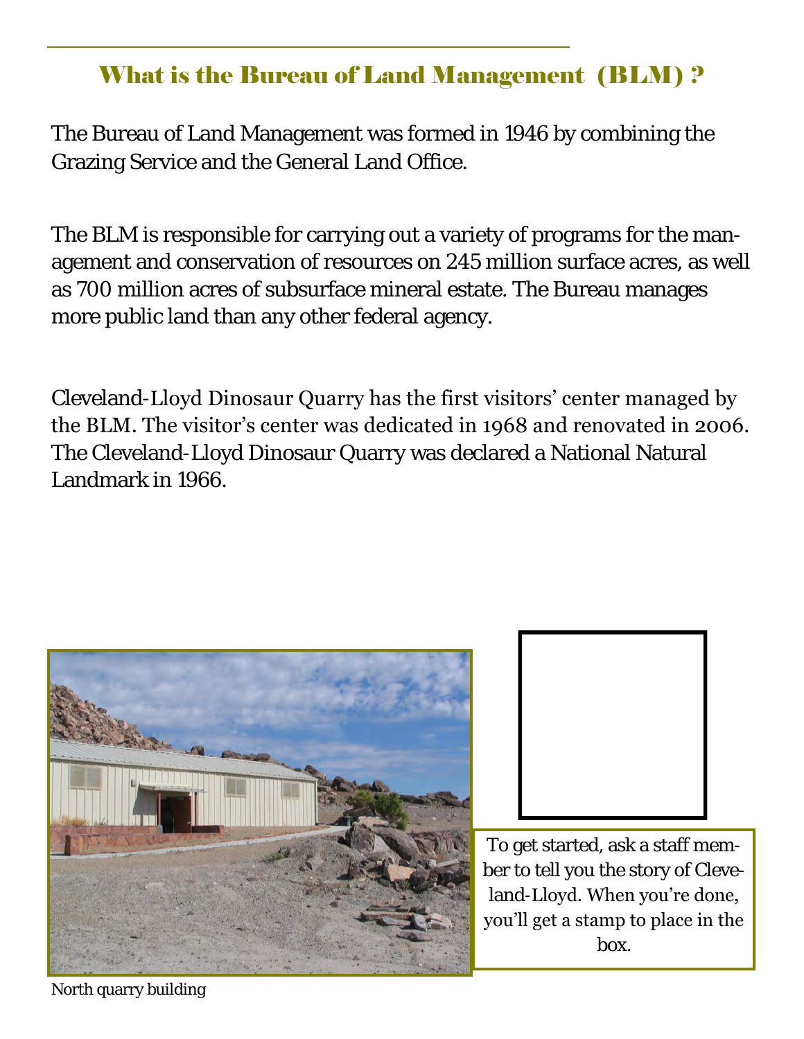## What is the Bureau of Land Management (BLM) ?

The Bureau of Land Management was formed in 1946 by combining the Grazing Service and the General Land Office.

The BLM is responsible for carrying out a variety of programs for the management and conservation of resources on 245 million surface acres, as well as 700 million acres of subsurface mineral estate. The Bureau manages more public land than any other federal agency.

Cleveland-Lloyd Dinosaur Quarry has the first visitors' center managed by the BLM. The visitor's center was dedicated in 1968 and renovated in 2006. The Cleveland-Lloyd Dinosaur Quarry was declared a National Natural Landmark in 1966.





To get started, ask a staff member to tell you the story of Cleveland-Lloyd. When you're done, you'll get a stamp to place in the box.

North quarry building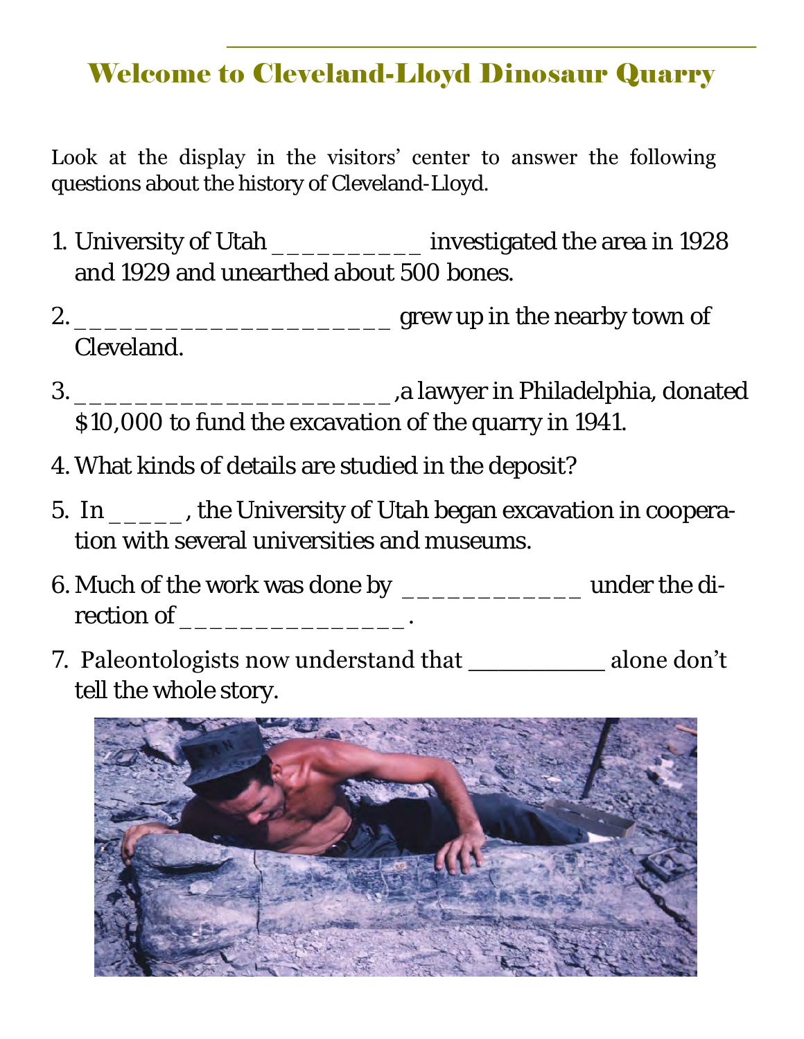# Welcome to Cleveland-Lloyd Dinosaur Quarry

Look at the display in the visitors' center to answer the following questions about the history of Cleveland-Lloyd.

- 1. University of Utah \_\_\_\_\_\_\_\_\_\_ investigated the area in 1928 and 1929 and unearthed about 500 bones.
- 2. \_\_\_\_\_\_\_\_\_\_\_\_\_\_\_\_\_\_\_\_\_\_\_\_\_\_\_\_\_\_\_grew up in the nearby town of Cleveland.
- 3. \_\_\_\_\_\_\_\_\_\_\_\_\_\_\_\_\_\_\_\_\_,a lawyer in Philadelphia, donated \$10,000 to fund the excavation of the quarry in 1941.
- 4. What kinds of details are studied in the deposit?
- 5. In \_\_\_\_\_, the University of Utah began excavation in cooperation with several universities and museums.
- 6. Much of the work was done by \_\_\_\_\_\_\_\_\_\_\_\_ under the direction of \_\_\_\_\_\_\_\_\_\_\_\_\_\_\_\_\_\_\_\_.
- 7. Paleontologists now understand that \_\_\_\_\_\_\_\_\_ alone don't tell the whole story.

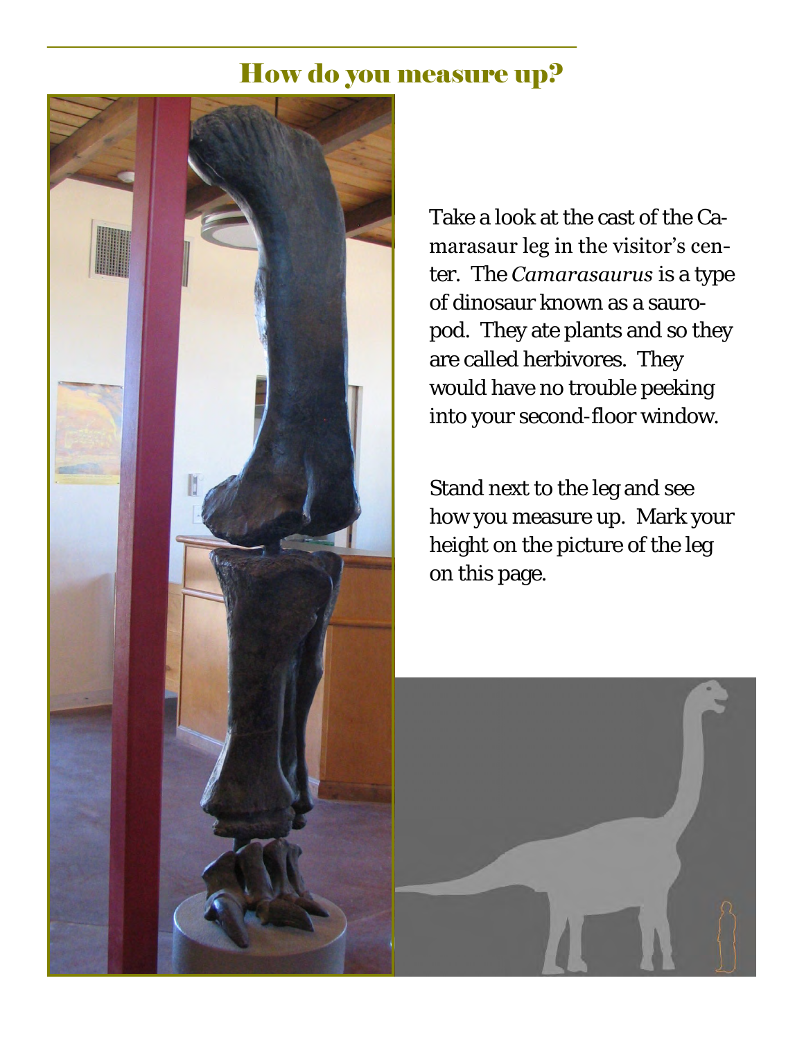### How do you measure up?



Take a look at the cast of the Camarasaur leg in the visitor's center. The *Camarasaurus* is a type of dinosaur known as a sauropod. They ate plants and so they are called herbivores. They would have no trouble peeking into your second-floor window.

Stand next to the leg and see how you measure up. Mark your height on the picture of the leg on this page.

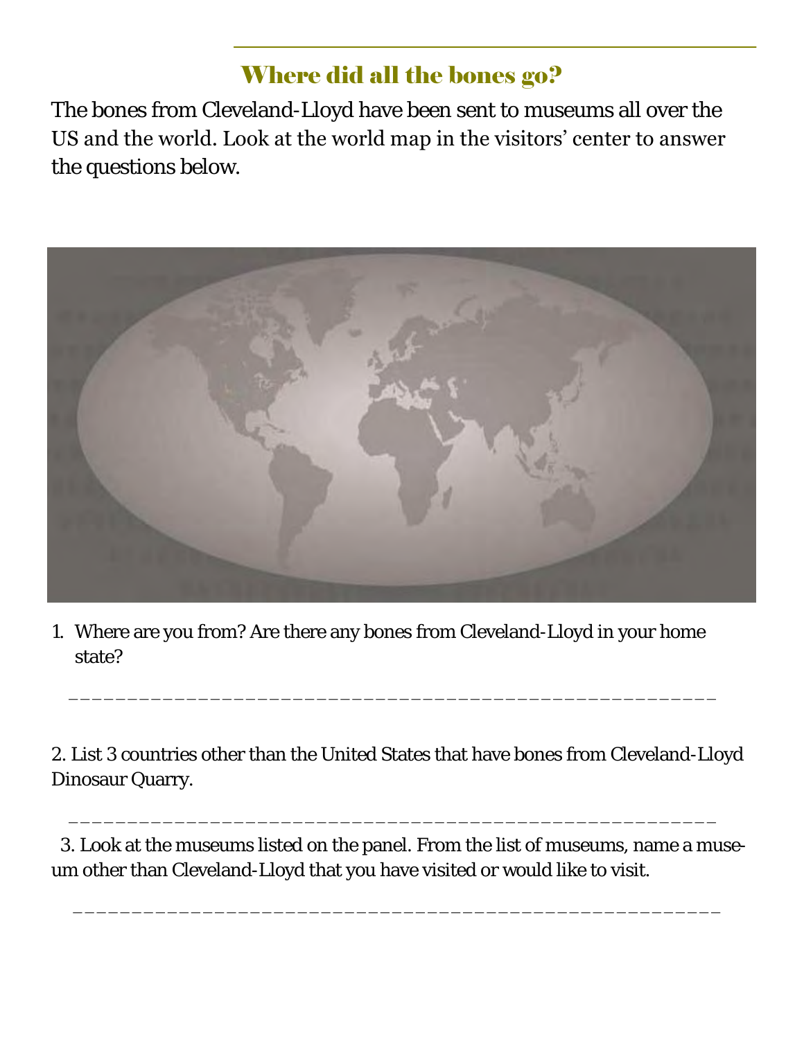# Where did all the bones go?

The bones from Cleveland-Lloyd have been sent to museums all over the US and the world. Look at the world map in the visitors' center to answer the questions below.



1. Where are you from? Are there any bones from Cleveland-Lloyd in your home state?

 $\overline{\phantom{a}}$  ,  $\overline{\phantom{a}}$  ,  $\overline{\phantom{a}}$  ,  $\overline{\phantom{a}}$  ,  $\overline{\phantom{a}}$  ,  $\overline{\phantom{a}}$  ,  $\overline{\phantom{a}}$  ,  $\overline{\phantom{a}}$  ,  $\overline{\phantom{a}}$  ,  $\overline{\phantom{a}}$  ,  $\overline{\phantom{a}}$  ,  $\overline{\phantom{a}}$  ,  $\overline{\phantom{a}}$  ,  $\overline{\phantom{a}}$  ,  $\overline{\phantom{a}}$  ,  $\overline{\phantom{a}}$ 

2. List 3 countries other than the United States that have bones from Cleveland-Lloyd Dinosaur Quarry.

 $\overline{\phantom{a}}$  ,  $\overline{\phantom{a}}$  ,  $\overline{\phantom{a}}$  ,  $\overline{\phantom{a}}$  ,  $\overline{\phantom{a}}$  ,  $\overline{\phantom{a}}$  ,  $\overline{\phantom{a}}$  ,  $\overline{\phantom{a}}$  ,  $\overline{\phantom{a}}$  ,  $\overline{\phantom{a}}$  ,  $\overline{\phantom{a}}$  ,  $\overline{\phantom{a}}$  ,  $\overline{\phantom{a}}$  ,  $\overline{\phantom{a}}$  ,  $\overline{\phantom{a}}$  ,  $\overline{\phantom{a}}$ 

 $\overline{\phantom{a}}$  ,  $\overline{\phantom{a}}$  ,  $\overline{\phantom{a}}$  ,  $\overline{\phantom{a}}$  ,  $\overline{\phantom{a}}$  ,  $\overline{\phantom{a}}$  ,  $\overline{\phantom{a}}$  ,  $\overline{\phantom{a}}$  ,  $\overline{\phantom{a}}$  ,  $\overline{\phantom{a}}$  ,  $\overline{\phantom{a}}$  ,  $\overline{\phantom{a}}$  ,  $\overline{\phantom{a}}$  ,  $\overline{\phantom{a}}$  ,  $\overline{\phantom{a}}$  ,  $\overline{\phantom{a}}$ 

 3. Look at the museums listed on the panel. From the list of museums, name a museum other than Cleveland-Lloyd that you have visited or would like to visit.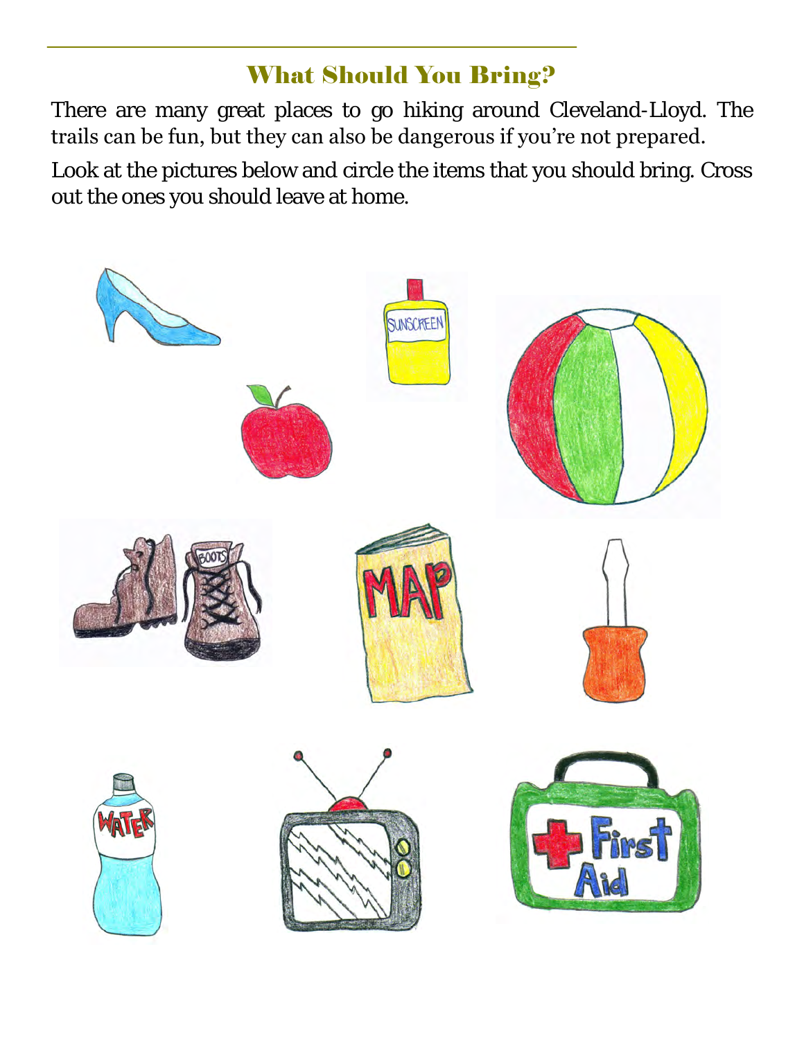# What Should You Bring?

There are many great places to go hiking around Cleveland-Lloyd. The trails can be fun, but they can also be dangerous if you're not prepared.

Look at the pictures below and circle the items that you should bring. Cross out the ones you should leave at home.

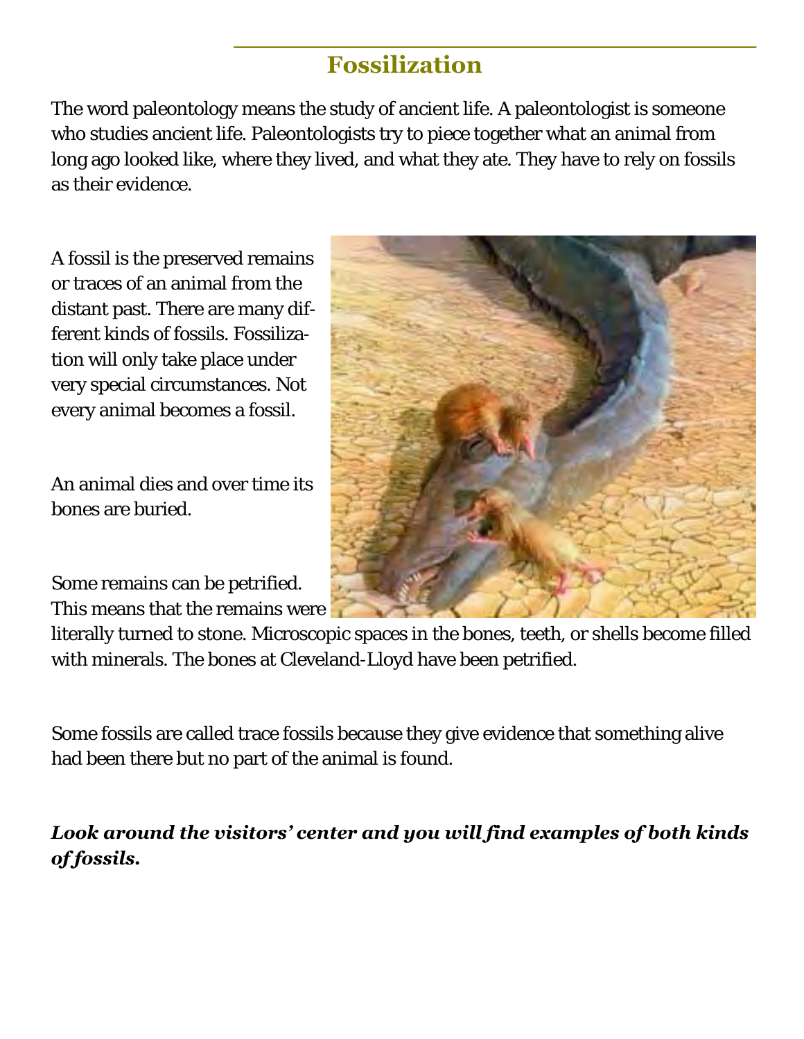# **Fossilization**

The word paleontology means the study of ancient life. A paleontologist is someone who studies ancient life. Paleontologists try to piece together what an animal from long ago looked like, where they lived, and what they ate. They have to rely on fossils as their evidence.

A fossil is the preserved remains or traces of an animal from the distant past. There are many different kinds of fossils. Fossilization will only take place under very special circumstances. Not every animal becomes a fossil.

An animal dies and over time its bones are buried.

Some remains can be petrified. This means that the remains were



literally turned to stone. Microscopic spaces in the bones, teeth, or shells become filled with minerals. The bones at Cleveland-Lloyd have been petrified.

Some fossils are called trace fossils because they give evidence that something alive had been there but no part of the animal is found.

*Look around the visitors' center and you will find examples of both kinds of fossils.*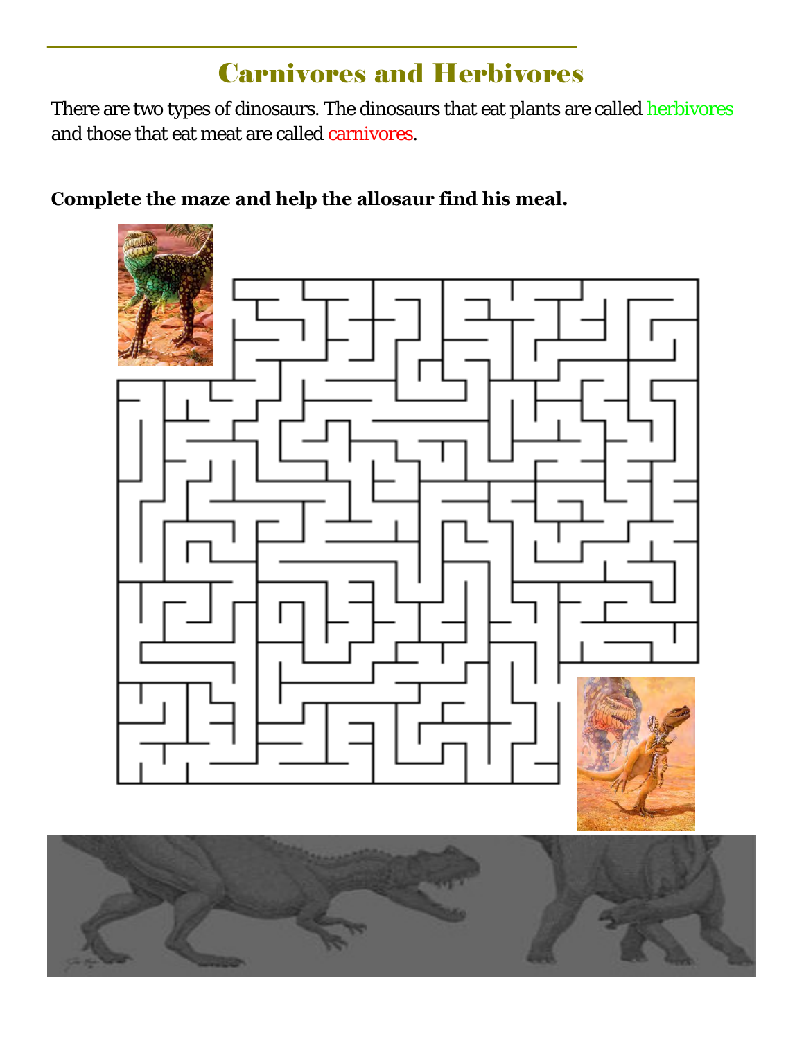# Carnivores and Herbivores

There are two types of dinosaurs. The dinosaurs that eat plants are called herbivores and those that eat meat are called carnivores.

#### **Complete the maze and help the allosaur find his meal***.*

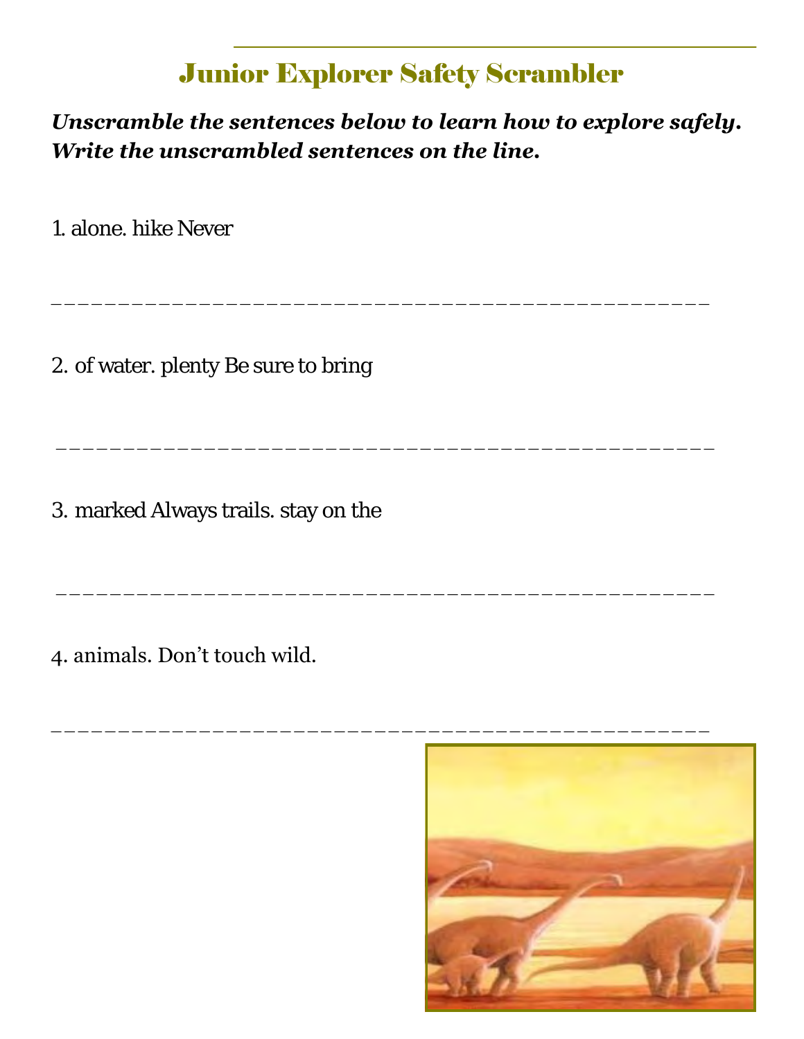# Junior Explorer Safety Scrambler

*Unscramble the sentences below to learn how to explore safely. Write the unscrambled sentences on the line.* 

\_\_\_\_\_\_\_\_\_\_\_\_\_\_\_\_\_\_\_\_\_\_\_\_\_\_\_\_\_\_\_\_\_\_\_\_\_\_\_\_\_\_\_\_\_\_\_\_\_

 $\overline{\phantom{a}}$  , and the contract of the contract of the contract of the contract of the contract of the contract of the contract of the contract of the contract of the contract of the contract of the contract of the contrac

 $\overline{\phantom{a}}$  , and the contract of the contract of the contract of the contract of the contract of the contract of the contract of the contract of the contract of the contract of the contract of the contract of the contrac

1. alone. hike Never

2. of water. plenty Be sure to bring

3. marked Always trails. stay on the

4. animals. Don't touch wild.

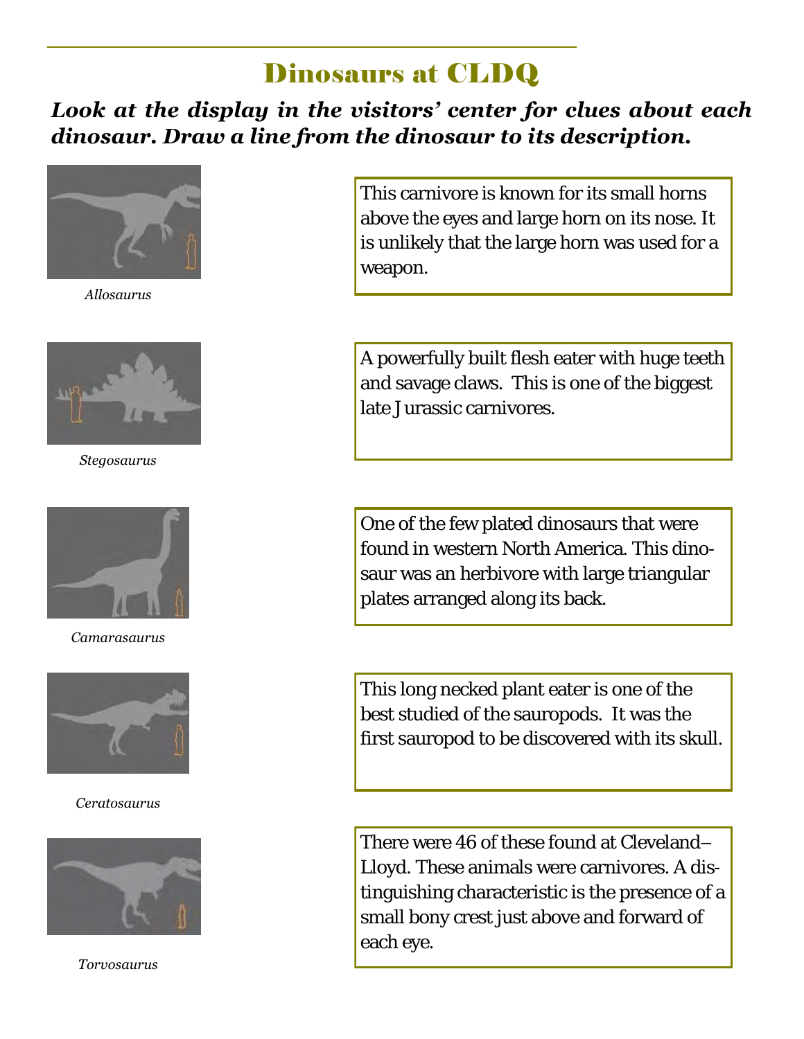# Dinosaurs at CLDQ

#### *Look at the display in the visitors' center for clues about each dinosaur. Draw a line from the dinosaur to its description.*



*Allosaurus* 



*Stegosaurus* 



*Camarasaurus* 



*Ceratosaurus* 



*Torvosaurus* 

This carnivore is known for its small horns above the eyes and large horn on its nose. It is unlikely that the large horn was used for a weapon.

A powerfully built flesh eater with huge teeth and savage claws. This is one of the biggest late Jurassic carnivores.

One of the few plated dinosaurs that were found in western North America. This dinosaur was an herbivore with large triangular plates arranged along its back.

This long necked plant eater is one of the best studied of the sauropods. It was the first sauropod to be discovered with its skull.

There were 46 of these found at Cleveland– Lloyd. These animals were carnivores. A distinguishing characteristic is the presence of a small bony crest just above and forward of each eye.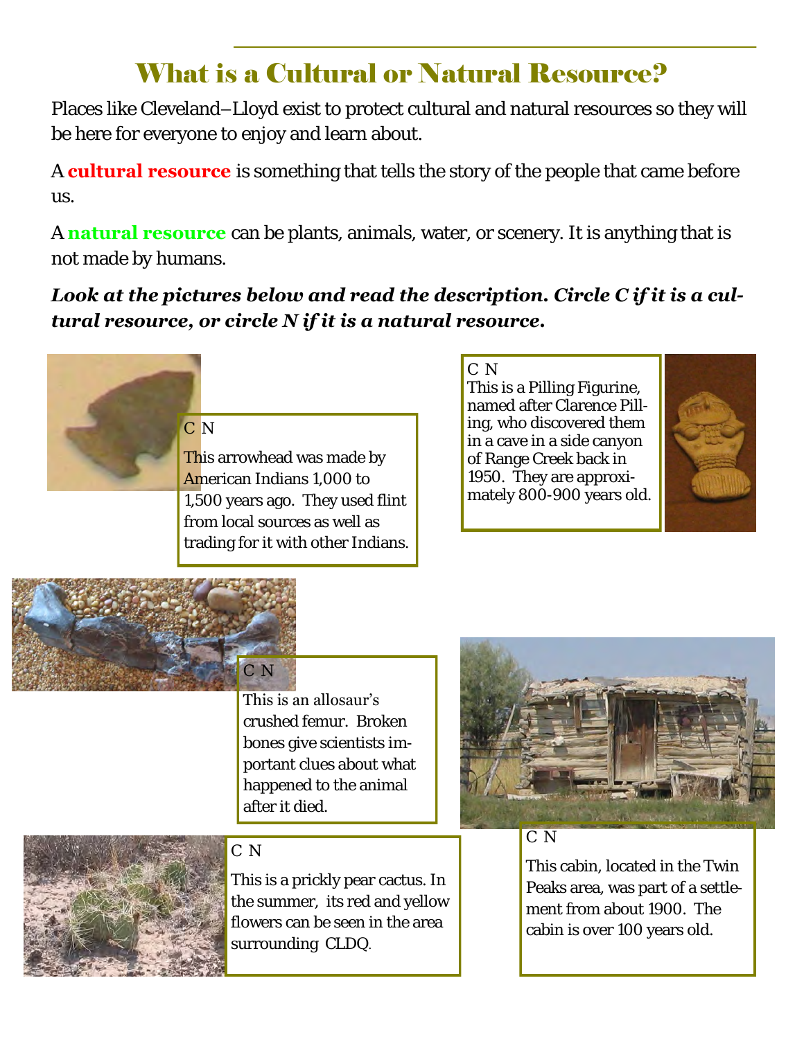# What is a Cultural or Natural Resource?

Places like Cleveland–Lloyd exist to protect cultural and natural resources so they will be here for everyone to enjoy and learn about.

A **cultural resource** is something that tells the story of the people that came before us.

A **natural resource** can be plants, animals, water, or scenery. It is anything that is not made by humans.

#### *Look at the pictures below and read the description. Circle C if it is a cultural resource, or circle N if it is a natural resource.*



This arrowhead was made by American Indians 1,000 to 1,500 years ago. They used flint from local sources as well as trading for it with other Indians.

#### C N

This is a Pilling Figurine, named after Clarence Pilling, who discovered them in a cave in a side canyon of Range Creek back in 1950. They are approximately 800-900 years old.





This is an allosaur's crushed femur. Broken bones give scientists important clues about what happened to the animal after it died.

C N

This is a prickly pear cactus. In the summer, its red and yellow flowers can be seen in the area surrounding CLDQ.



C N

This cabin, located in the Twin Peaks area, was part of a settlement from about 1900. The cabin is over 100 years old.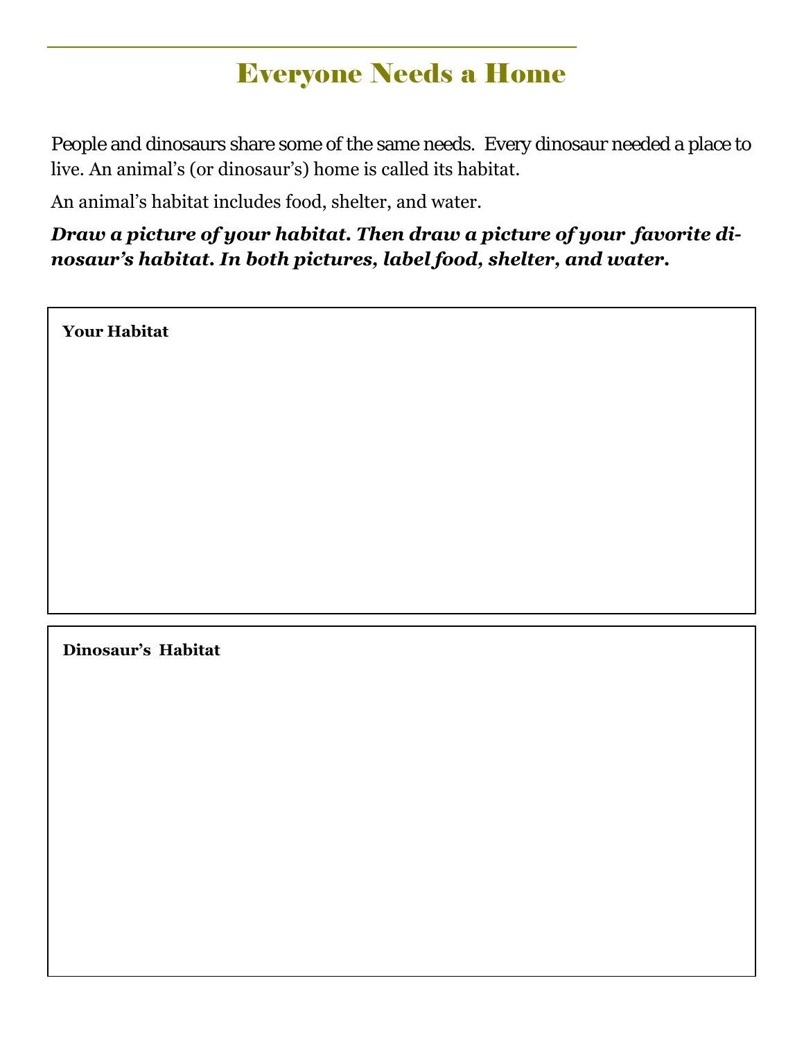# Everyone Needs a Home

People and dinosaurs share some of the same needs. Every dinosaur needed a place to live. An animal's (or dinosaur's) home is called its habitat.

An animal's habitat includes food, shelter, and water.

#### *Draw a picture of your habitat. Then draw a picture of your favorite dinosaur's habitat. In both pictures, label food, shelter, and water.*

**Your Habitat** 

**Dinosaur's Habitat**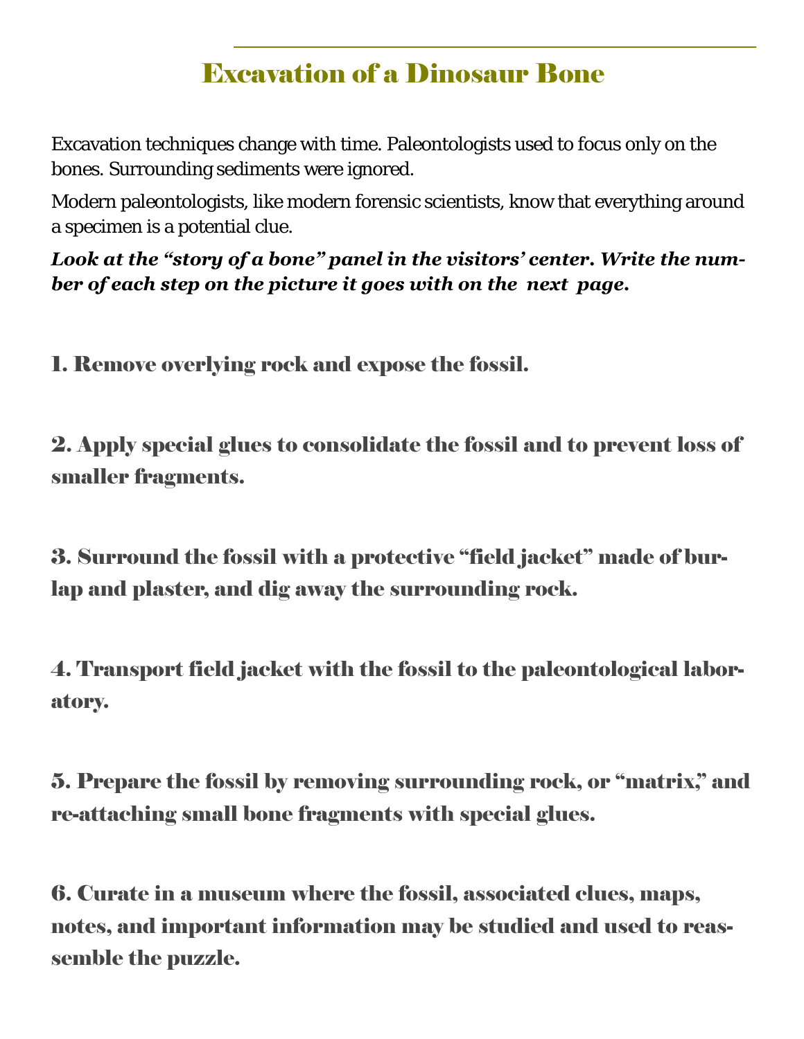# Excavation of a Dinosaur Bone

Excavation techniques change with time. Paleontologists used to focus only on the bones. Surrounding sediments were ignored.

Modern paleontologists, like modern forensic scientists, know that everything around a specimen is a potential clue.

*Look at the "story of a bone" panel in the visitors' center. Write the number of each step on the picture it goes with on the next page.* 

1. Remove overlying rock and expose the fossil.

2. Apply special glues to consolidate the fossil and to prevent loss of smaller fragments.

3. Surround the fossil with a protective "field jacket" made of burlap and plaster, and dig away the surrounding rock.

4. Transport field jacket with the fossil to the paleontological laboratory.

5. Prepare the fossil by removing surrounding rock, or "matrix," and re-attaching small bone fragments with special glues.

6. Curate in a museum where the fossil, associated clues, maps, notes, and important information may be studied and used to reassemble the puzzle.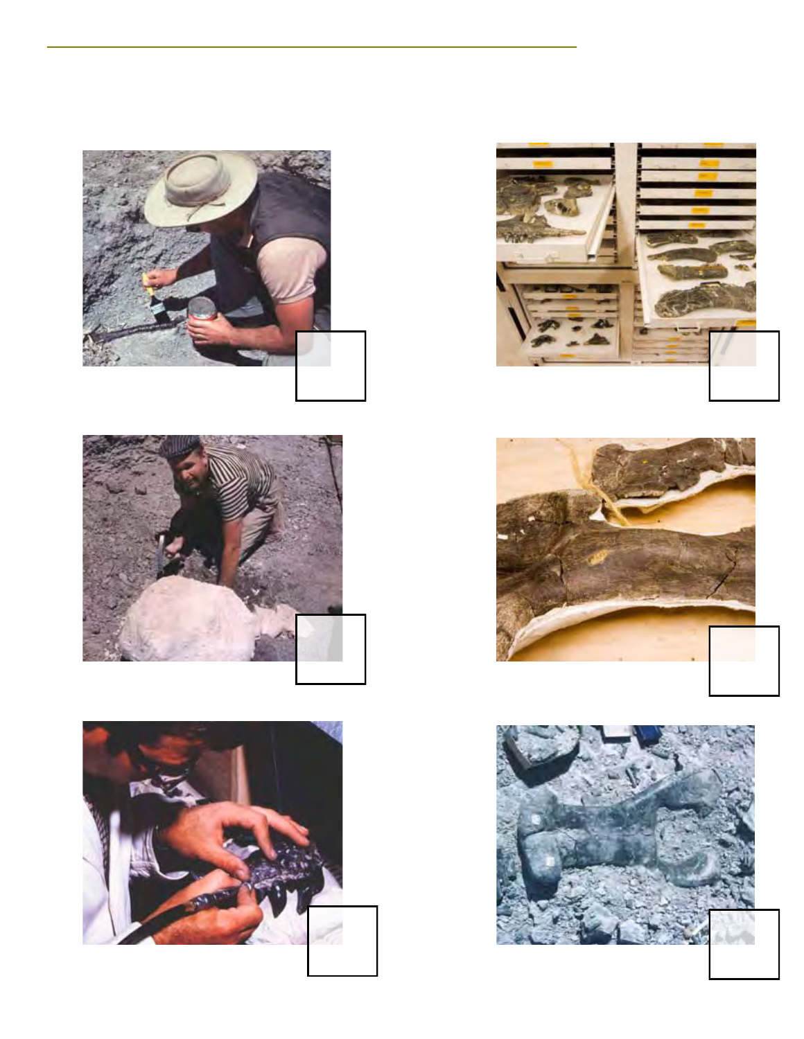









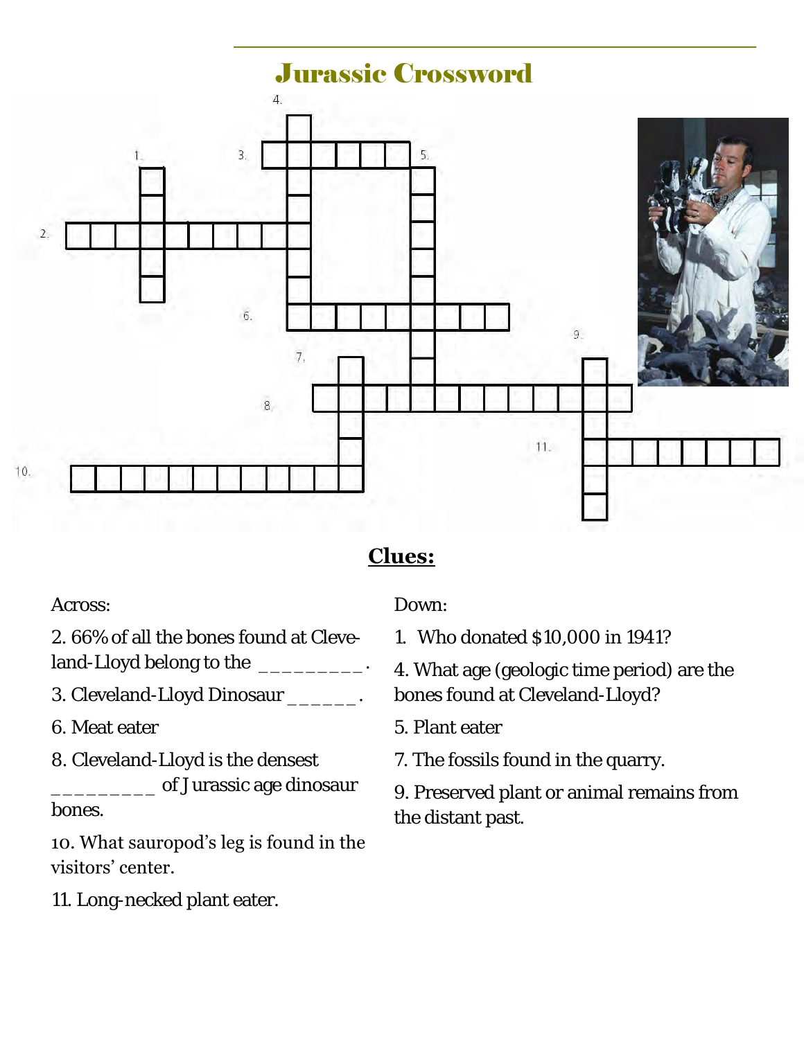

### **Clues:**

Across:

2. 66% of all the bones found at Cleveland-Lloyd belong to the \_\_\_\_\_\_\_\_\_\_.

3. Cleveland-Lloyd Dinosaur \_\_\_\_\_\_\_.

6. Meat eater

8. Cleveland-Lloyd is the densest \_\_\_\_\_\_\_\_\_ of Jurassic age dinosaur bones.

#### 10. What sauropod's leg is found in the visitors' center.

11. Long-necked plant eater.

#### Down:

1. Who donated \$10,000 in 1941?

4. What age (geologic time period) are the bones found at Cleveland-Lloyd?

5. Plant eater

7. The fossils found in the quarry.

9. Preserved plant or animal remains from the distant past.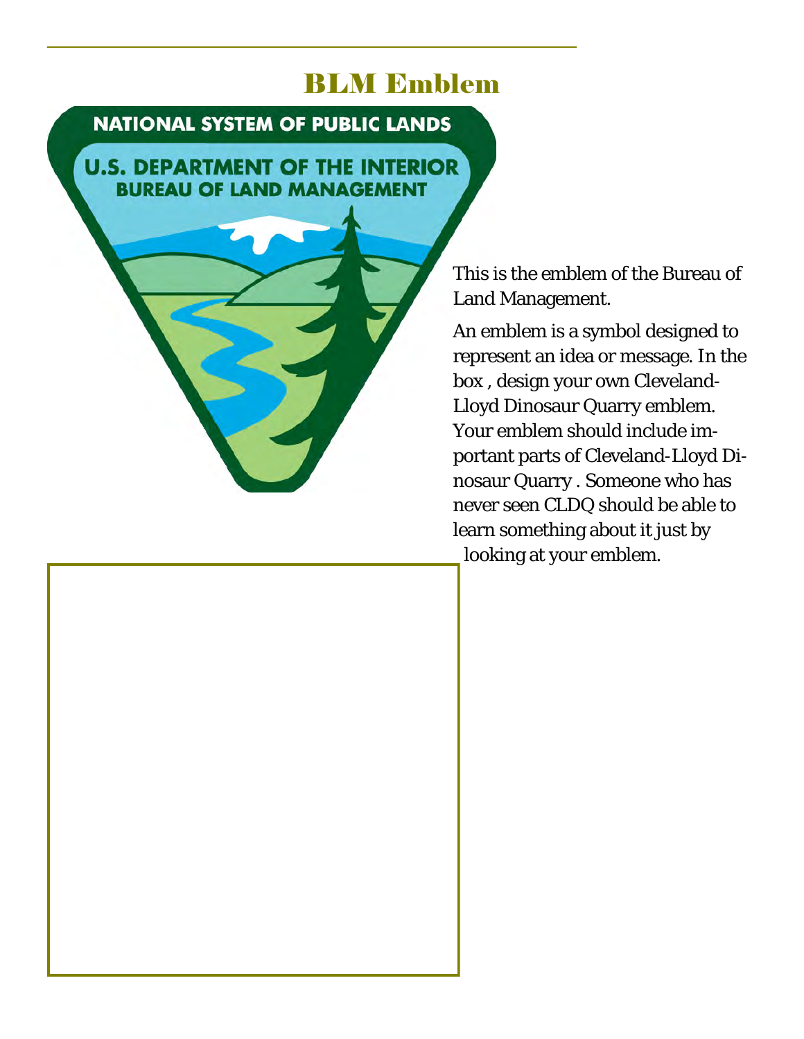# BLM Emblem

#### **NATIONAL SYSTEM OF PUBLIC LANDS**

**U.S. DEPARTMENT OF THE INTERIOR BUREAU OF LAND MANAGEMENT** 



This is the emblem of the Bureau of Land Management.

An emblem is a symbol designed to represent an idea or message. In the box , design your own Cleveland-Lloyd Dinosaur Quarry emblem. Your emblem should include important parts of Cleveland-Lloyd Dinosaur Quarry . Someone who has never seen CLDQ should be able to learn something about it just by looking at your emblem.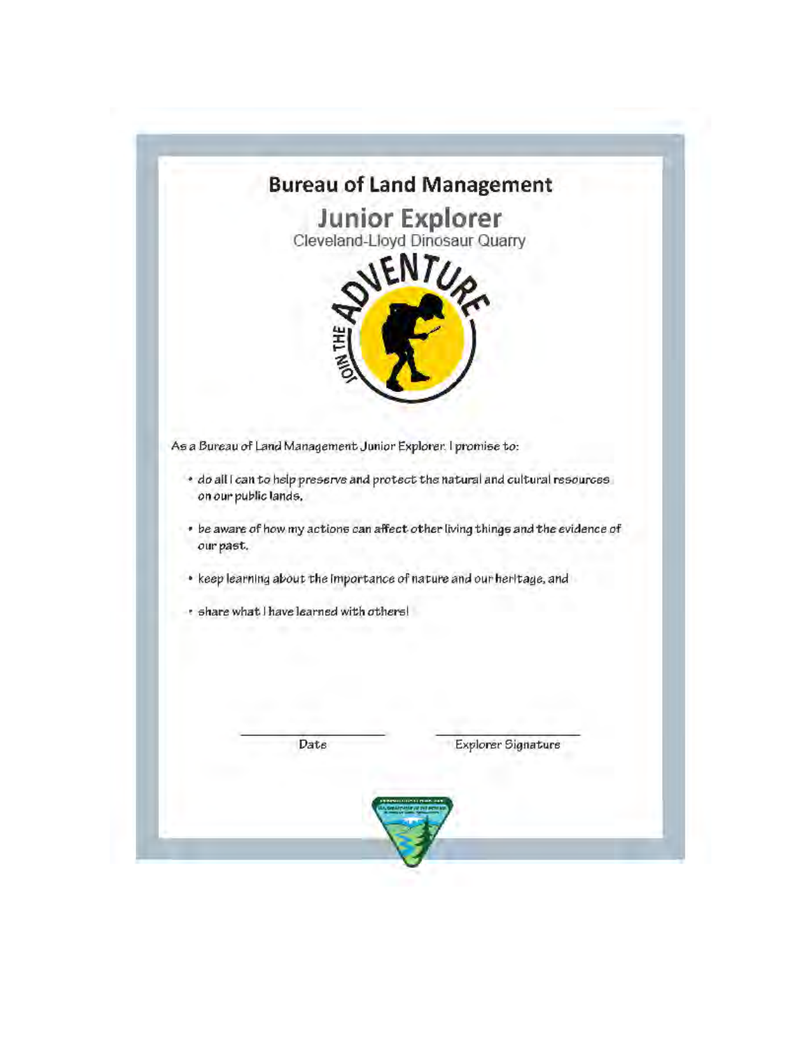|           |                                                               | <b>Bureau of Land Management</b>                                                |
|-----------|---------------------------------------------------------------|---------------------------------------------------------------------------------|
|           |                                                               | <b>Junior Explorer</b><br>Cleveland-Lloyd Dinosaur Quarry                       |
|           |                                                               | JENTU                                                                           |
|           |                                                               |                                                                                 |
|           | <b>THE</b>                                                    |                                                                                 |
|           |                                                               |                                                                                 |
|           | As a Bureau of Land Management Junior Explorer. I promise to: |                                                                                 |
|           |                                                               | • do all I can to help preserve and protect the natural and cultural resources  |
|           | on our public lands.                                          |                                                                                 |
| our past. |                                                               | • be aware of how my actions can affect other living things and the evidence of |
|           |                                                               |                                                                                 |
|           |                                                               | . keep learning about the importance of nature and our heritage, and            |
|           | share what I have learned with others!                        |                                                                                 |
|           |                                                               |                                                                                 |
|           |                                                               |                                                                                 |
|           |                                                               |                                                                                 |
|           | Date                                                          | Explorer Signature                                                              |
|           |                                                               |                                                                                 |
|           |                                                               |                                                                                 |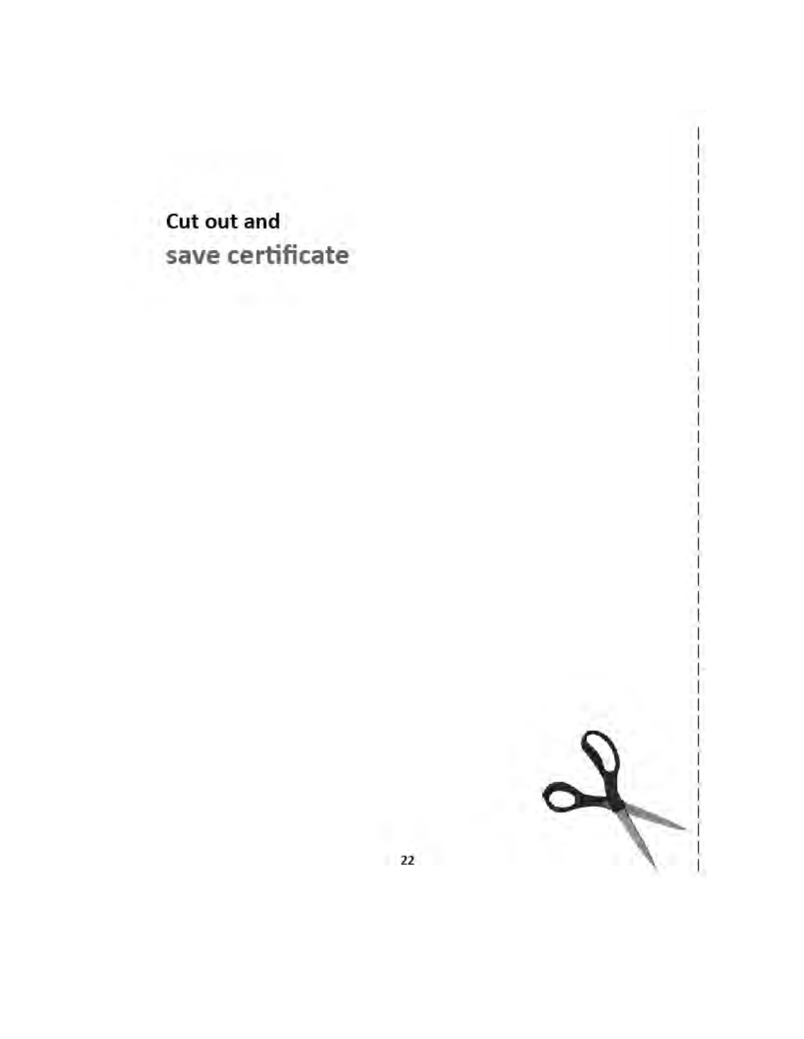Cut out and save certificate